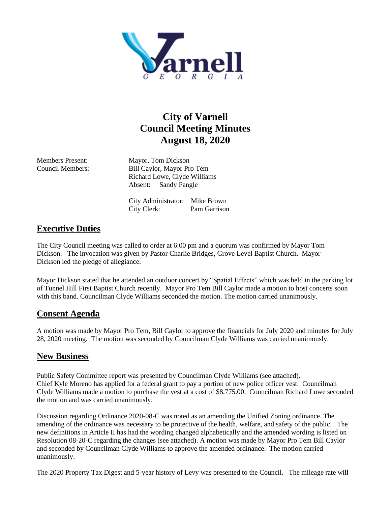

## **City of Varnell Council Meeting Minutes August 18, 2020**

Members Present: Mayor, Tom Dickson Council Members: Bill Caylor, Mayor Pro Tem Richard Lowe, Clyde Williams Absent: Sandy Pangle

> City Administrator: Mike Brown City Clerk: Pam Garrison

## **Executive Duties**

The City Council meeting was called to order at 6:00 pm and a quorum was confirmed by Mayor Tom Dickson. The invocation was given by Pastor Charlie Bridges, Grove Level Baptist Church. Mayor Dickson led the pledge of allegiance.

Mayor Dickson stated that he attended an outdoor concert by "Spatial Effects" which was held in the parking lot of Tunnel Hill First Baptist Church recently. Mayor Pro Tem Bill Caylor made a motion to host concerts soon with this band. Councilman Clyde Williams seconded the motion. The motion carried unanimously.

## **Consent Agenda**

A motion was made by Mayor Pro Tem, Bill Caylor to approve the financials for July 2020 and minutes for July 28, 2020 meeting. The motion was seconded by Councilman Clyde Williams was carried unanimously.

## **New Business**

Public Safety Committee report was presented by Councilman Clyde Williams (see attached). Chief Kyle Moreno has applied for a federal grant to pay a portion of new police officer vest. Councilman Clyde Williams made a motion to purchase the vest at a cost of \$8,775.00. Councilman Richard Lowe seconded the motion and was carried unanimously.

Discussion regarding Ordinance 2020-08-C was noted as an amending the Unified Zoning ordinance. The amending of the ordinance was necessary to be protective of the health, welfare, and safety of the public. The new definitions in Article II has had the wording changed alphabetically and the amended wording is listed on Resolution 08-20-C regarding the changes (see attached). A motion was made by Mayor Pro Tem Bill Caylor and seconded by Councilman Clyde Williams to approve the amended ordinance. The motion carried unanimously.

The 2020 Property Tax Digest and 5-year history of Levy was presented to the Council. The mileage rate will